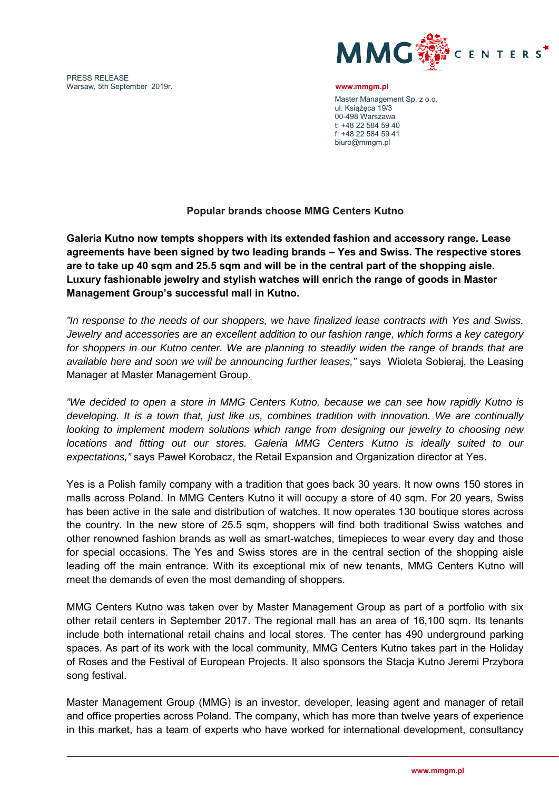PRESS RELEASE Warsaw, 5th September 2019r. **www.mmgm.pl** 



Master Management Sp. z o.o. ul. Książęca 19/3 00-498 Warszawa t: +48 22 584 59 40 f: +48 22 584 59 41 biuro@mmgm.pl

## **Popular brands choose MMG Centers Kutno**

**Galeria Kutno now tempts shoppers with its extended fashion and accessory range. Lease agreements have been signed by two leading brands – Yes and Swiss. The respective stores are to take up 40 sqm and 25.5 sqm and will be in the central part of the shopping aisle. Luxury fashionable jewelry and stylish watches will enrich the range of goods in Master Management Group's successful mall in Kutno.**

*"In response to the needs of our shoppers, we have finalized lease contracts with Yes and Swiss. Jewelry and accessories are an excellent addition to our fashion range, which forms a key category*  for shoppers in our Kutno center. We are planning to steadily widen the range of brands that are *available here and soon we will be announcing further leases,"* says Wioleta Sobieraj, the Leasing Manager at Master Management Group.

*"We decided to open a store in MMG Centers Kutno, because we can see how rapidly Kutno is developing. It is a town that, just like us, combines tradition with innovation. We are continually looking to implement modern solutions which range from designing our jewelry to choosing new locations and fitting out our stores. Galeria MMG Centers Kutno is ideally suited to our expectations,"* says Paweł Korobacz, the Retail Expansion and Organization director at Yes.

Yes is a Polish family company with a tradition that goes back 30 years. It now owns 150 stores in malls across Poland. In MMG Centers Kutno it will occupy a store of 40 sqm. For 20 years, Swiss has been active in the sale and distribution of watches. It now operates 130 boutique stores across the country. In the new store of 25.5 sqm, shoppers will find both traditional Swiss watches and other renowned fashion brands as well as smart-watches, timepieces to wear every day and those for special occasions. The Yes and Swiss stores are in the central section of the shopping aisle leading off the main entrance. With its exceptional mix of new tenants, MMG Centers Kutno will meet the demands of even the most demanding of shoppers.

MMG Centers Kutno was taken over by Master Management Group as part of a portfolio with six other retail centers in September 2017. The regional mall has an area of 16,100 sqm. Its tenants include both international retail chains and local stores. The center has 490 underground parking spaces. As part of its work with the local community, MMG Centers Kutno takes part in the Holiday of Roses and the Festival of European Projects. It also sponsors the Stacja Kutno Jeremi Przybora song festival.

Master Management Group (MMG) is an investor, developer, leasing agent and manager of retail and office properties across Poland. The company, which has more than twelve years of experience in this market, has a team of experts who have worked for international development, consultancy